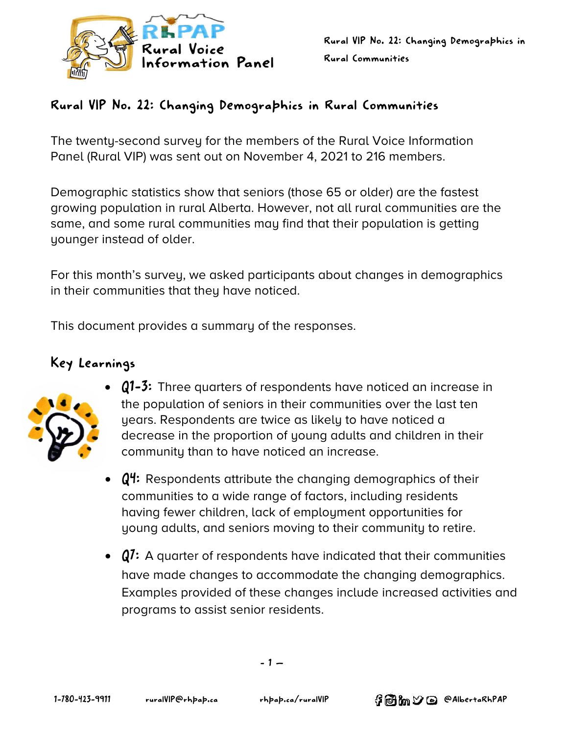

# Rural VIP No. 22: Changing Demographics in Rural Communities

The twenty-second survey for the members of the Rural Voice Information Panel (Rural VIP) was sent out on November 4, 2021 to 216 members.

Demographic statistics show that seniors (those 65 or older) are the fastest growing population in rural Alberta. However, not all rural communities are the same, and some rural communities may find that their population is getting younger instead of older.

For this month's survey, we asked participants about changes in demographics in their communities that they have noticed.

This document provides a summary of the responses.

# Key Learnings



- Q1-3: Three quarters of respondents have noticed an increase in the population of seniors in their communities over the last ten years. Respondents are twice as likely to have noticed a decrease in the proportion of young adults and children in their community than to have noticed an increase.
- $\mathbf{Q}^{\prime\prime}$ : Respondents attribute the changing demographics of their communities to a wide range of factors, including residents having fewer children, lack of employment opportunities for young adults, and seniors moving to their community to retire.
- Q7: A quarter of respondents have indicated that their communities have made changes to accommodate the changing demographics. Examples provided of these changes include increased activities and programs to assist senior residents.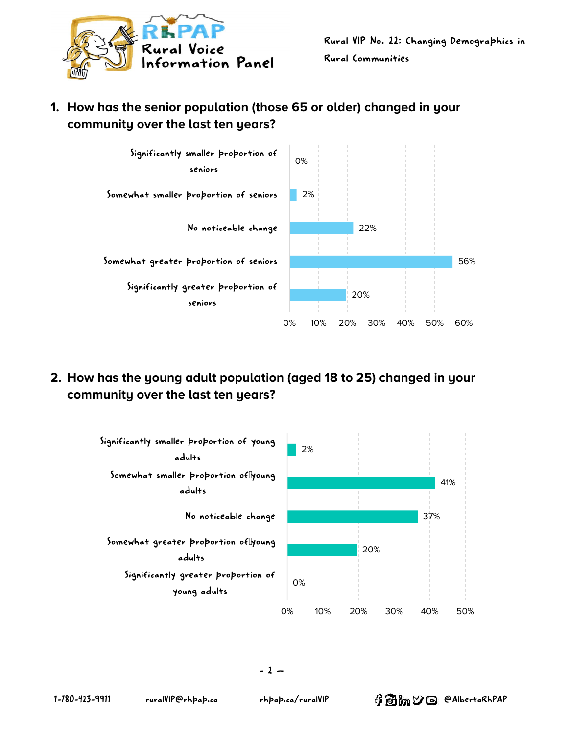



**1. How has the senior population (those 65 or older) changed in your community over the last ten years?**

**2. How has the young adult population (aged 18 to 25) changed in your community over the last ten years?**

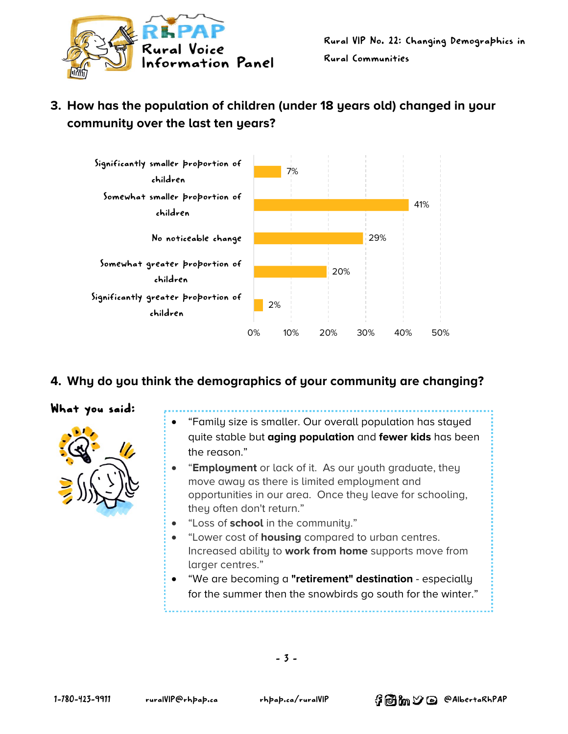

# **3. How has the population of children (under 18 years old) changed in your community over the last ten years?**



## **4. Why do you think the demographics of your community are changing?**

#### What you said:



- "Family size is smaller. Our overall population has stayed quite stable but **aging population** and **fewer kids** has been the reason."
- "**Employment** or lack of it. As our youth graduate, they move away as there is limited employment and opportunities in our area. Once they leave for schooling, they often don't return."
- "Loss of **school** in the community."
- "Lower cost of **housing** compared to urban centres. Increased ability to **work from home** supports move from larger centres."
- "We are becoming a **"retirement" destination** especially for the summer then the snowbirds go south for the winter."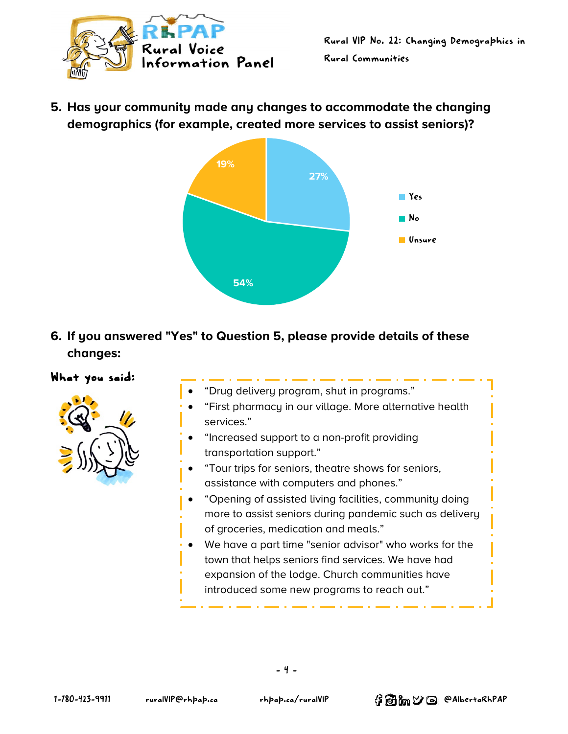

**5. Has your community made any changes to accommodate the changing demographics (for example, created more services to assist seniors)?**



**6. If you answered "Yes" to Question 5, please provide details of these changes:**

#### What you said:



- "Drug delivery program, shut in programs."
- "First pharmacy in our village. More alternative health services."
- "Increased support to a non-profit providing transportation support."
- "Tour trips for seniors, theatre shows for seniors, assistance with computers and phones."
- "Opening of assisted living facilities, community doing more to assist seniors during pandemic such as delivery of groceries, medication and meals."
- We have a part time "senior advisor" who works for the town that helps seniors find services. We have had expansion of the lodge. Church communities have introduced some new programs to reach out."

•

- 4 -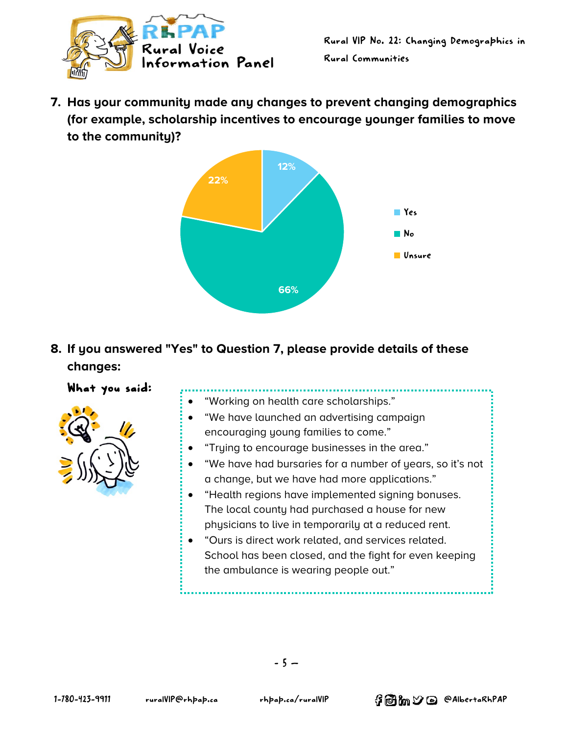

**7. Has your community made any changes to prevent changing demographics (for example, scholarship incentives to encourage younger families to move to the community)?**



**8. If you answered "Yes" to Question 7, please provide details of these changes:**

# What you said:

• "Working on health care scholarships." • "We have launched an advertising campaign encouraging young families to come." • "Trying to encourage businesses in the area." • "We have had bursaries for a number of years, so it's not a change, but we have had more applications." • "Health regions have implemented signing bonuses. The local county had purchased a house for new physicians to live in temporarily at a reduced rent. • "Ours is direct work related, and services related. School has been closed, and the fight for even keeping the ambulance is wearing people out."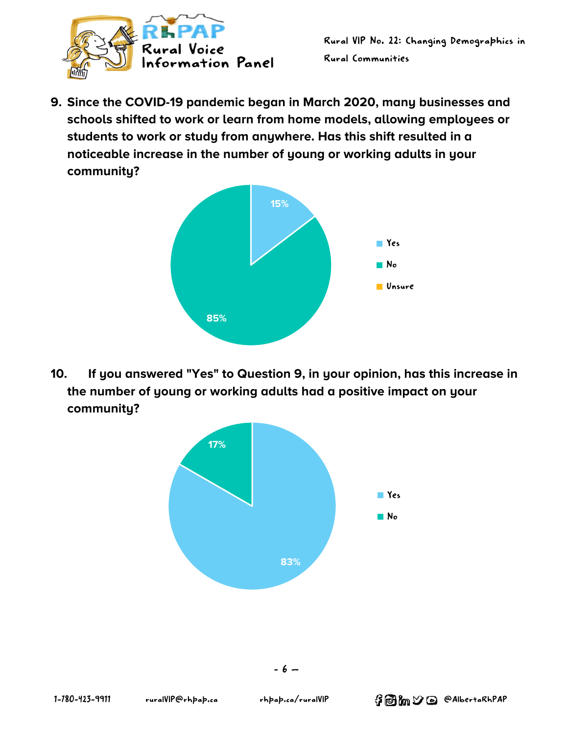

**9. Since the COVID-19 pandemic began in March 2020, many businesses and schools shifted to work or learn from home models, allowing employees or students to work or study from anywhere. Has this shift resulted in a noticeable increase in the number of young or working adults in your community?**



**10. If you answered "Yes" to Question 9, in your opinion, has this increase in the number of young or working adults had a positive impact on your community?**